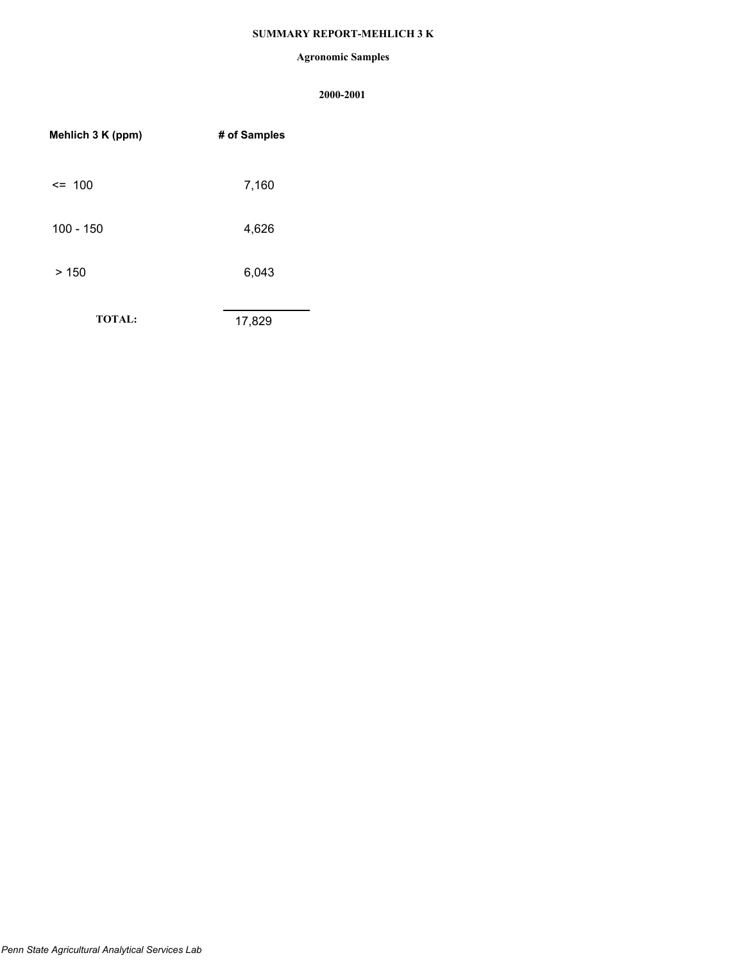## **SUMMARY REPORT-MEHLICH 3 K**

### **Agronomic Samples**

| Mehlich 3 K (ppm) | # of Samples |
|-------------------|--------------|
| $\leq$ 100        | 7,160        |
| $100 - 150$       | 4,626        |
| >150              | 6,043        |
| <b>TOTAL:</b>     | 17,829       |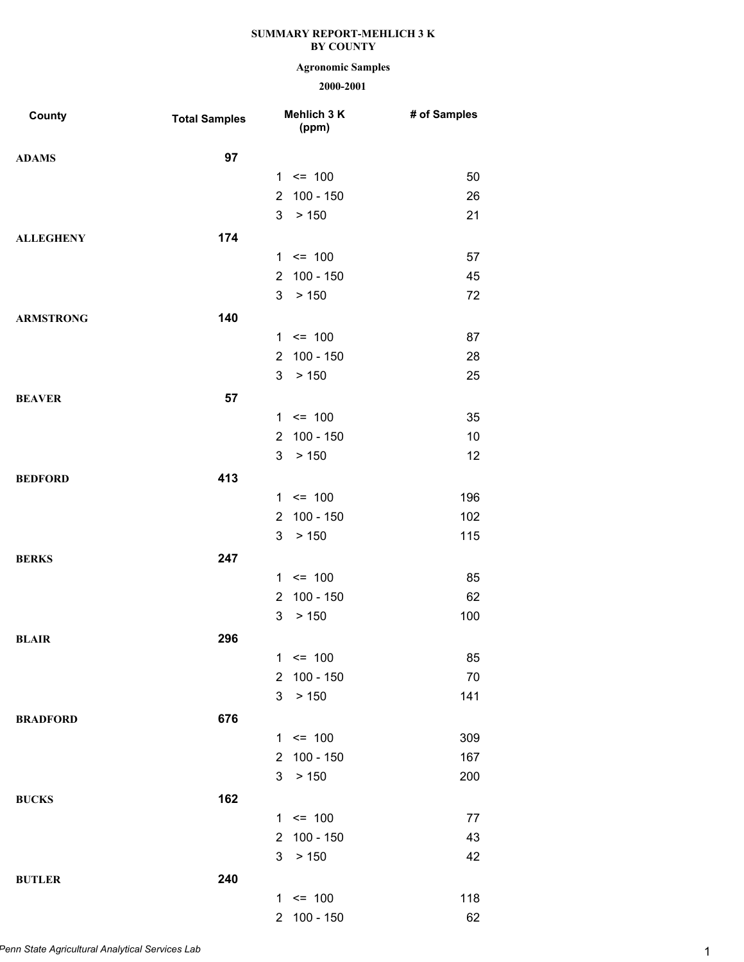# **Agronomic Samples**

| County           | <b>Total Samples</b> |                | Mehlich 3 K<br>(ppm) | # of Samples |
|------------------|----------------------|----------------|----------------------|--------------|
| <b>ADAMS</b>     | 97                   |                |                      |              |
|                  |                      |                | $1 \le 100$          | 50           |
|                  |                      | $\overline{2}$ | $100 - 150$          | 26           |
|                  |                      | 3              | > 150                | 21           |
| <b>ALLEGHENY</b> | 174                  |                |                      |              |
|                  |                      |                | $1 \le 100$          | 57           |
|                  |                      | $\overline{2}$ | 100 - 150            | 45           |
|                  |                      | 3              | > 150                | 72           |
| <b>ARMSTRONG</b> | 140                  |                |                      |              |
|                  |                      |                | $1 \le 100$          | 87           |
|                  |                      | $\overline{2}$ | $100 - 150$          | 28           |
|                  |                      | 3              | > 150                | 25           |
| <b>BEAVER</b>    | 57                   |                |                      |              |
|                  |                      |                | $1 \le 100$          | 35           |
|                  |                      | $\overline{2}$ | 100 - 150            | 10           |
|                  |                      | 3              | > 150                | 12           |
| <b>BEDFORD</b>   | 413                  |                |                      |              |
|                  |                      |                | $1 \le 100$          | 196          |
|                  |                      | $\overline{2}$ | $100 - 150$          | 102          |
|                  |                      | 3              | > 150                | 115          |
| <b>BERKS</b>     | 247                  |                |                      |              |
|                  |                      |                | $1 \le 100$          | 85           |
|                  |                      | $\overline{2}$ | 100 - 150            | 62           |
|                  |                      | 3              | > 150                | 100          |
| <b>BLAIR</b>     | 296                  |                |                      |              |
|                  |                      | 1              | $= 100$              | 85           |
|                  |                      | $\overline{2}$ | $100 - 150$          | 70           |
|                  |                      | 3              | > 150                | 141          |
| <b>BRADFORD</b>  | 676                  |                |                      |              |
|                  |                      |                | $1 \le 100$          | 309          |
|                  |                      | $\overline{2}$ | $100 - 150$          | 167          |
|                  |                      | 3              | > 150                | 200          |
| <b>BUCKS</b>     | 162                  |                |                      |              |
|                  |                      |                | $1 \le 100$          | 77           |
|                  |                      | $\overline{2}$ | 100 - 150            | 43           |
|                  |                      | 3              | > 150                | 42           |
| <b>BUTLER</b>    | 240                  |                |                      |              |
|                  |                      |                | $1 \le 100$          | 118          |
|                  |                      | $\overline{2}$ | $100 - 150$          | 62           |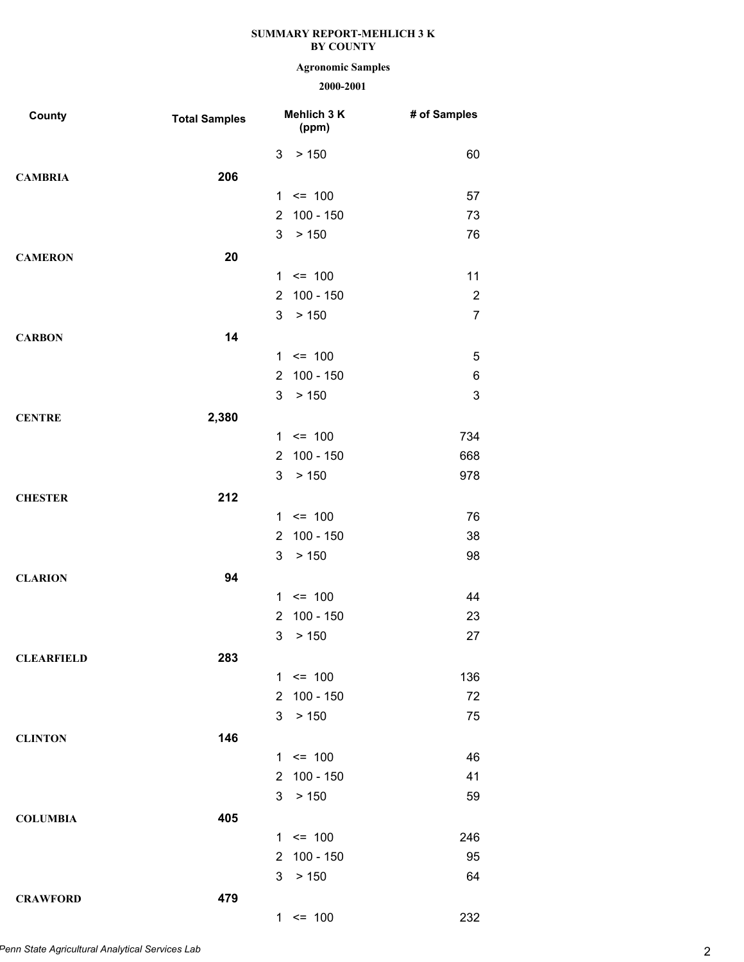## **Agronomic Samples**

| County            | <b>Total Samples</b> |                      | Mehlich 3 K<br>(ppm) | # of Samples   |
|-------------------|----------------------|----------------------|----------------------|----------------|
|                   |                      | 3                    | > 150                | 60             |
| <b>CAMBRIA</b>    | 206                  |                      |                      |                |
|                   |                      |                      | $1 \le 100$          | 57             |
|                   |                      | $\overline{2}$       | 100 - 150            | 73             |
|                   |                      | 3                    | > 150                | 76             |
| <b>CAMERON</b>    | 20                   |                      |                      |                |
|                   |                      |                      | $1 \le 100$          | 11             |
|                   |                      | $\overline{2}$       | 100 - 150            | $\overline{2}$ |
|                   |                      | 3                    | > 150                | $\overline{7}$ |
| <b>CARBON</b>     | 14                   |                      |                      |                |
|                   |                      |                      | $1 \le 100$          | 5              |
|                   |                      | $\overline{2}$       | 100 - 150            | 6              |
|                   |                      | 3                    | > 150                | $\mathsf 3$    |
| <b>CENTRE</b>     | 2,380                |                      |                      |                |
|                   |                      |                      | $1 \le 100$          | 734            |
|                   |                      | $\overline{2}$       | $100 - 150$          | 668            |
|                   |                      | 3                    | > 150                | 978            |
| <b>CHESTER</b>    | 212                  |                      |                      |                |
|                   |                      |                      | $1 \le 100$          | 76             |
|                   |                      | $\overline{2}$       | 100 - 150            | 38             |
|                   |                      | 3                    | > 150                | 98             |
| <b>CLARION</b>    | 94                   |                      |                      |                |
|                   |                      | $\mathbf{1}$         | $\leq$ 100           | 44             |
|                   |                      | $\overline{2}$       | $100 - 150$          | 23             |
|                   |                      | 3                    | > 150                | 27             |
| <b>CLEARFIELD</b> | 283                  |                      |                      |                |
|                   |                      |                      | $1 \le 100$          | 136            |
|                   |                      | $\overline{2}$       | 100 - 150            | 72             |
|                   |                      | 3                    | > 150                | 75             |
| <b>CLINTON</b>    | 146                  |                      |                      |                |
|                   |                      |                      | $1 \le 100$          | 46             |
|                   |                      | $\mathbf{2}^{\circ}$ | 100 - 150            | 41             |
|                   |                      | 3                    | > 150                | 59             |
| <b>COLUMBIA</b>   | 405                  |                      |                      |                |
|                   |                      |                      | $1 \le 100$          | 246            |
|                   |                      | $\overline{2}$       | 100 - 150            | 95             |
|                   |                      | 3                    | > 150                | 64             |
| <b>CRAWFORD</b>   | 479                  |                      |                      |                |
|                   |                      |                      | $1 \le 100$          | 232            |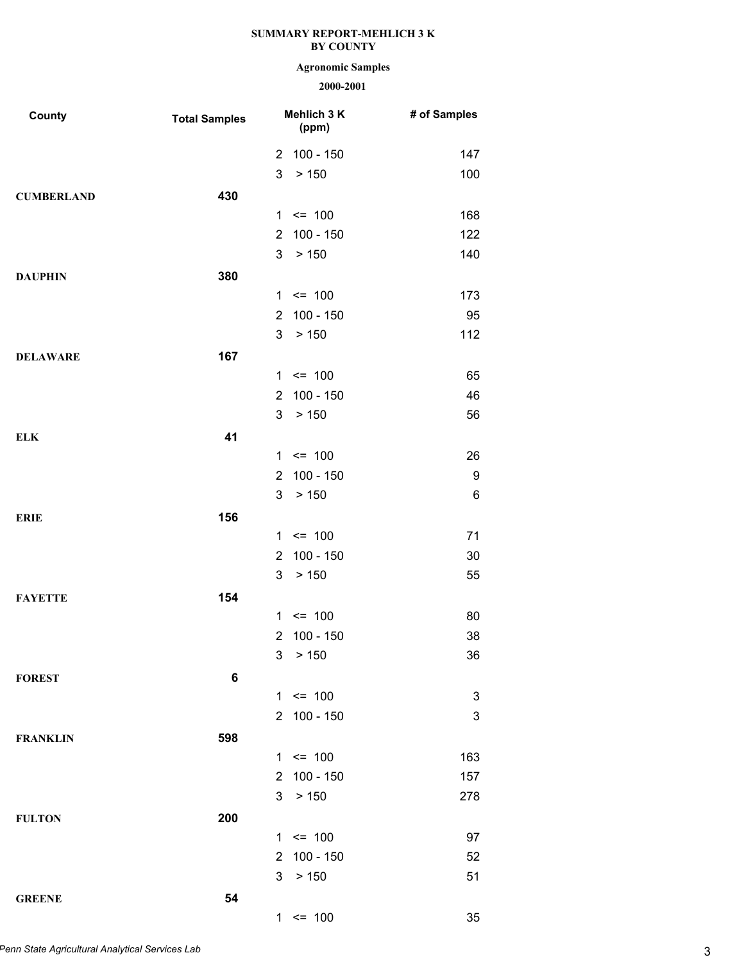# **Agronomic Samples**

| County            | <b>Total Samples</b> |                       | Mehlich 3 K<br>(ppm) | # of Samples |
|-------------------|----------------------|-----------------------|----------------------|--------------|
|                   |                      | $\overline{2}$        | 100 - 150            | 147          |
|                   |                      | 3                     | > 150                | 100          |
| <b>CUMBERLAND</b> | 430                  |                       |                      |              |
|                   |                      |                       | $1 \le 100$          | 168          |
|                   |                      | $\overline{2}$        | 100 - 150            | 122          |
|                   |                      | 3                     | > 150                | 140          |
| <b>DAUPHIN</b>    | 380                  |                       |                      |              |
|                   |                      | 1                     | $= 100$              | 173          |
|                   |                      | $\overline{2}$        | 100 - 150            | 95           |
|                   |                      | 3                     | > 150                | 112          |
| <b>DELAWARE</b>   | 167                  |                       |                      |              |
|                   |                      |                       | $1 \le 100$          | 65           |
|                   |                      | $\overline{2}$        | 100 - 150            | 46           |
|                   |                      | 3                     | > 150                | 56           |
| <b>ELK</b>        | 41                   |                       |                      |              |
|                   |                      |                       | $1 \le 100$          | 26           |
|                   |                      | $\overline{2}$        | 100 - 150            | 9            |
|                   |                      | 3                     | > 150                | 6            |
| <b>ERIE</b>       | 156                  |                       |                      |              |
|                   |                      |                       | $1 \le 100$          | 71           |
|                   |                      | $\overline{2}$        | 100 - 150            | 30           |
|                   |                      | 3                     | > 150                | 55           |
| <b>FAYETTE</b>    | 154                  |                       |                      |              |
|                   |                      | $\mathbf{1}$          | $= 100$              | 80           |
|                   |                      | $\overline{2}$        | 100 - 150            | 38           |
|                   |                      | 3                     | > 150                | 36           |
| <b>FOREST</b>     | 6                    |                       |                      |              |
|                   |                      |                       | $1 \le 100$          | 3            |
|                   |                      | $\mathbf{2}^{\prime}$ | 100 - 150            | 3            |
| <b>FRANKLIN</b>   | 598                  |                       |                      |              |
|                   |                      |                       | $1 \le 100$          | 163          |
|                   |                      | $\mathbf{2}^{\circ}$  | 100 - 150            | 157          |
|                   |                      | 3                     | > 150                | 278          |
| <b>FULTON</b>     | 200                  |                       |                      |              |
|                   |                      |                       | $1 \le 100$          | 97           |
|                   |                      | $\overline{2}$        | $100 - 150$          | 52           |
|                   |                      | 3                     | > 150                | 51           |
| <b>GREENE</b>     | 54                   |                       |                      |              |
|                   |                      |                       | $1 \le 100$          | 35           |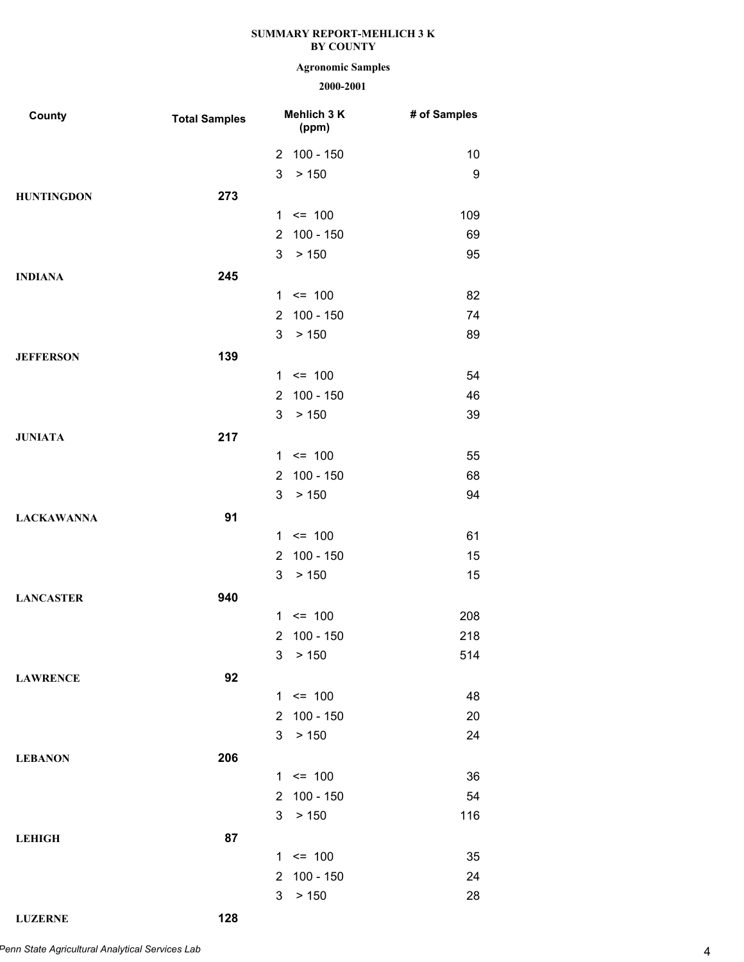## **Agronomic Samples**

## **2000-2001**

| County            | <b>Total Samples</b> |                | Mehlich 3 K<br>(ppm) | # of Samples |
|-------------------|----------------------|----------------|----------------------|--------------|
|                   |                      | $\overline{2}$ | 100 - 150            | 10           |
|                   |                      | 3              | > 150                | 9            |
| <b>HUNTINGDON</b> | 273                  |                |                      |              |
|                   |                      |                | $1 \le 100$          | 109          |
|                   |                      | $\overline{2}$ | 100 - 150            | 69           |
|                   |                      | 3              | > 150                | 95           |
| <b>INDIANA</b>    | 245                  |                |                      |              |
|                   |                      |                | $1 \le 100$          | 82           |
|                   |                      | $\overline{2}$ | 100 - 150            | 74           |
|                   |                      | 3              | > 150                | 89           |
| <b>JEFFERSON</b>  | 139                  |                |                      |              |
|                   |                      |                | $1 \le 100$          | 54           |
|                   |                      | $\overline{2}$ | 100 - 150            | 46           |
|                   |                      | 3              | > 150                | 39           |
| <b>JUNIATA</b>    | 217                  |                |                      |              |
|                   |                      |                | $1 \le 100$          | 55           |
|                   |                      | $\overline{2}$ | 100 - 150            | 68           |
|                   |                      | 3              | > 150                | 94           |
| <b>LACKAWANNA</b> | 91                   |                |                      |              |
|                   |                      |                | $1 \le 100$          | 61           |
|                   |                      | $\overline{2}$ | 100 - 150            | 15           |
|                   |                      | 3              | > 150                | 15           |
| <b>LANCASTER</b>  | 940                  |                |                      |              |
|                   |                      | $\mathbf 1$    | $\leq$ 100           | 208          |
|                   |                      | $\overline{2}$ | 100 - 150            | 218          |
|                   |                      | 3              | > 150                | 514          |
| <b>LAWRENCE</b>   | 92                   |                |                      |              |
|                   |                      |                | $1 \le 100$          | 48           |
|                   |                      | $\overline{2}$ | 100 - 150            | 20           |
|                   |                      | 3              | > 150                | 24           |
| <b>LEBANON</b>    | 206                  |                |                      |              |
|                   |                      |                | $1 \le 100$          | 36           |
|                   |                      | $\overline{2}$ | 100 - 150            | 54           |
|                   |                      | 3              | > 150                | 116          |
| <b>LEHIGH</b>     | 87                   |                |                      |              |
|                   |                      |                | $1 \le 100$          | 35           |
|                   |                      | $\overline{2}$ | 100 - 150            | 24           |
|                   |                      | 3              | > 150                | 28           |

**LUZERNE 128**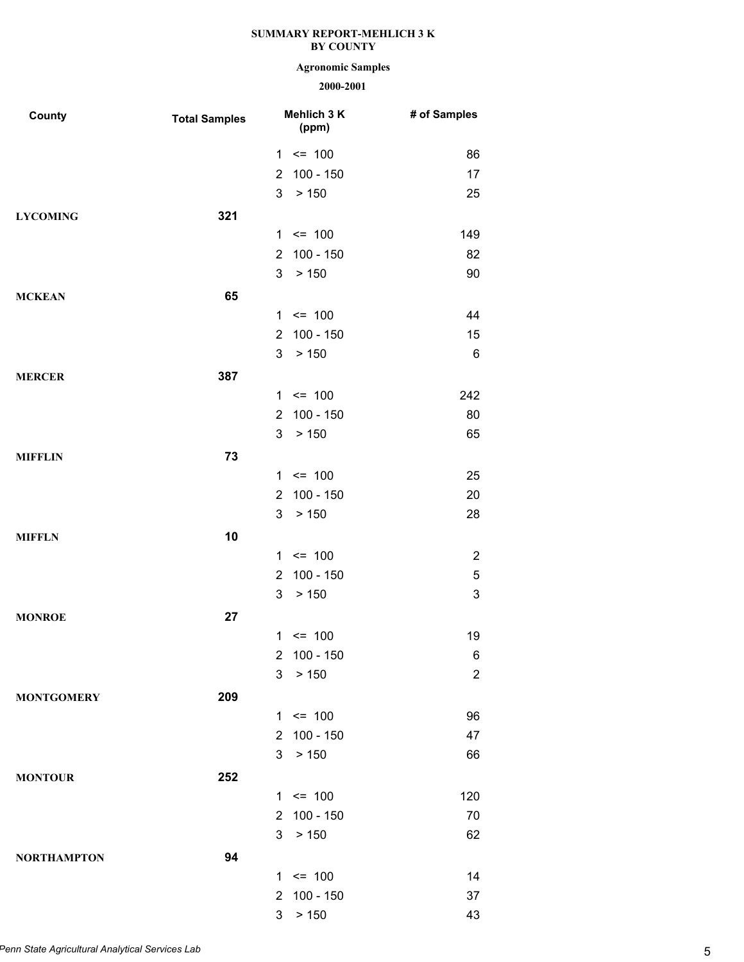# **Agronomic Samples**

| County             | <b>Total Samples</b> |                | Mehlich 3 K<br>(ppm) | # of Samples              |
|--------------------|----------------------|----------------|----------------------|---------------------------|
|                    |                      | 1              | $= 100$              | 86                        |
|                    |                      | $\overline{2}$ | $100 - 150$          | 17                        |
|                    |                      | 3              | > 150                | 25                        |
| <b>LYCOMING</b>    | 321                  |                |                      |                           |
|                    |                      | $\mathbf 1$    | $= 100$              | 149                       |
|                    |                      | $\overline{2}$ | $100 - 150$          | 82                        |
|                    |                      | 3              | > 150                | 90                        |
| <b>MCKEAN</b>      | 65                   |                |                      |                           |
|                    |                      | $\mathbf{1}$   | $= 100$              | 44                        |
|                    |                      | $\overline{2}$ | $100 - 150$          | 15                        |
|                    |                      | 3              | > 150                | 6                         |
| <b>MERCER</b>      | 387                  |                |                      |                           |
|                    |                      | $\mathbf 1$    | $= 100$              | 242                       |
|                    |                      | $\overline{2}$ | $100 - 150$          | 80                        |
|                    |                      | 3              | > 150                | 65                        |
| <b>MIFFLIN</b>     | 73                   |                |                      |                           |
|                    |                      | $\mathbf{1}$   | $= 100$              | 25                        |
|                    |                      | $\overline{2}$ | $100 - 150$          | 20                        |
|                    |                      | 3              | > 150                | 28                        |
| <b>MIFFLN</b>      | 10                   |                |                      |                           |
|                    |                      | $\mathbf{1}$   | $= 100$              | $\overline{2}$            |
|                    |                      | $\overline{2}$ | $100 - 150$          | 5                         |
|                    |                      | 3              | > 150                | $\ensuremath{\mathsf{3}}$ |
| <b>MONROE</b>      | 27                   |                |                      |                           |
|                    |                      |                | $1 \le 100$          | 19                        |
|                    |                      | $\overline{2}$ | $100 - 150$          | 6                         |
|                    |                      | 3              | > 150                | $\overline{c}$            |
| <b>MONTGOMERY</b>  | 209                  |                |                      |                           |
|                    |                      |                | $1 \le 100$          | 96                        |
|                    |                      | $\overline{2}$ | $100 - 150$          | 47                        |
|                    |                      | 3              | > 150                | 66                        |
| <b>MONTOUR</b>     | 252                  |                |                      |                           |
|                    |                      |                | $1 \le 100$          | 120                       |
|                    |                      | $\overline{2}$ | 100 - 150            | 70                        |
|                    |                      | 3              | > 150                | 62                        |
| <b>NORTHAMPTON</b> | 94                   |                |                      |                           |
|                    |                      |                | $1 \le 100$          | 14                        |
|                    |                      | $\overline{2}$ | $100 - 150$          | 37                        |
|                    |                      | 3              | > 150                | 43                        |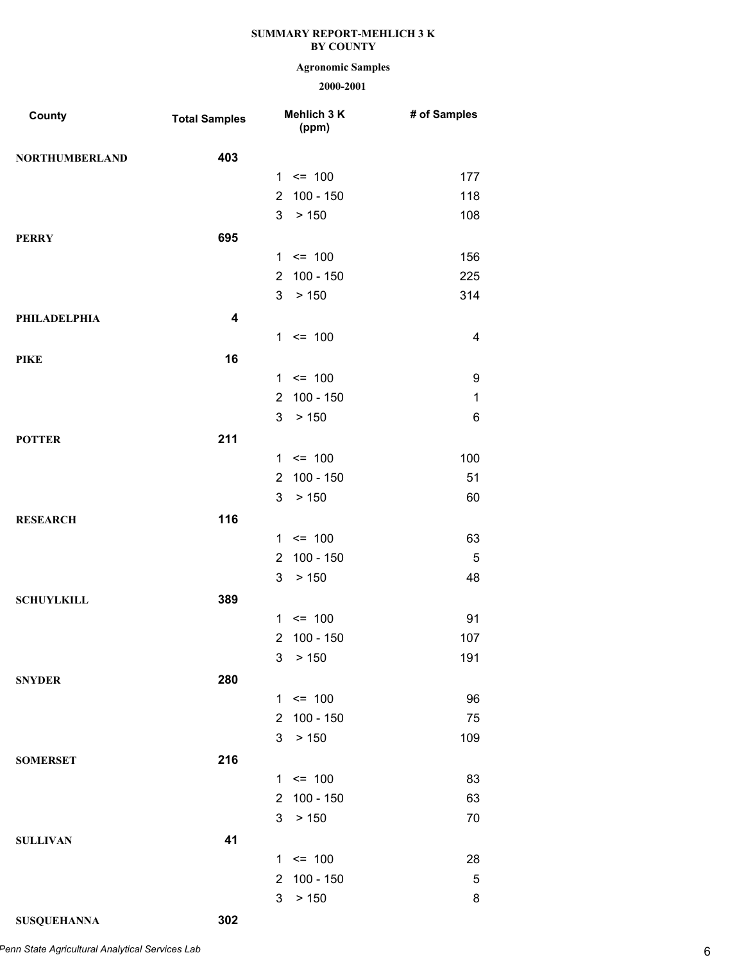## **Agronomic Samples**

| County                | <b>Total Samples</b>    |                | Mehlich 3 K<br>(ppm) | # of Samples |
|-----------------------|-------------------------|----------------|----------------------|--------------|
| <b>NORTHUMBERLAND</b> | 403                     |                |                      |              |
|                       |                         |                | $1 \le 100$          | 177          |
|                       |                         | $\overline{2}$ | $100 - 150$          | 118          |
|                       |                         | 3              | > 150                | 108          |
| <b>PERRY</b>          | 695                     |                |                      |              |
|                       |                         |                | $1 \le 100$          | 156          |
|                       |                         | $\overline{2}$ | $100 - 150$          | 225          |
|                       |                         | 3              | > 150                | 314          |
| <b>PHILADELPHIA</b>   | $\overline{\mathbf{4}}$ |                |                      |              |
|                       |                         |                | $1 \le 100$          | 4            |
| <b>PIKE</b>           | 16                      |                |                      |              |
|                       |                         |                | $1 \le 100$          | 9            |
|                       |                         | $\overline{2}$ | $100 - 150$          | $\mathbf 1$  |
|                       |                         | 3              | > 150                | 6            |
| <b>POTTER</b>         | 211                     |                |                      |              |
|                       |                         |                | $1 \le 100$          | 100          |
|                       |                         | $\overline{2}$ | 100 - 150            | 51           |
|                       |                         | 3              | > 150                | 60           |
| <b>RESEARCH</b>       | 116                     |                |                      |              |
|                       |                         |                | $1 \le 100$          | 63           |
|                       |                         | $\overline{2}$ | $100 - 150$          | 5            |
|                       |                         | 3              | > 150                | 48           |
| <b>SCHUYLKILL</b>     | 389                     |                |                      |              |
|                       |                         | 1.             | $= 100$              | 91           |
|                       |                         | $\overline{2}$ | $100 - 150$          | 107          |
|                       |                         | 3              | > 150                | 191          |
| <b>SNYDER</b>         | 280                     |                |                      |              |
|                       |                         |                | $1 \le 100$          | 96           |
|                       |                         | $\overline{2}$ | 100 - 150            | 75           |
|                       |                         | 3              | > 150                | 109          |
| <b>SOMERSET</b>       | 216                     |                |                      |              |
|                       |                         |                | $1 \le 100$          | 83           |
|                       |                         | $\overline{2}$ | $100 - 150$          | 63           |
|                       |                         | 3              | > 150                | 70           |
| <b>SULLIVAN</b>       | 41                      |                |                      |              |
|                       |                         |                | $1 \le 100$          | 28           |
|                       |                         | $\overline{2}$ | 100 - 150            | 5            |
|                       |                         | 3              | > 150                | 8            |
| <b>SUSQUEHANNA</b>    | 302                     |                |                      |              |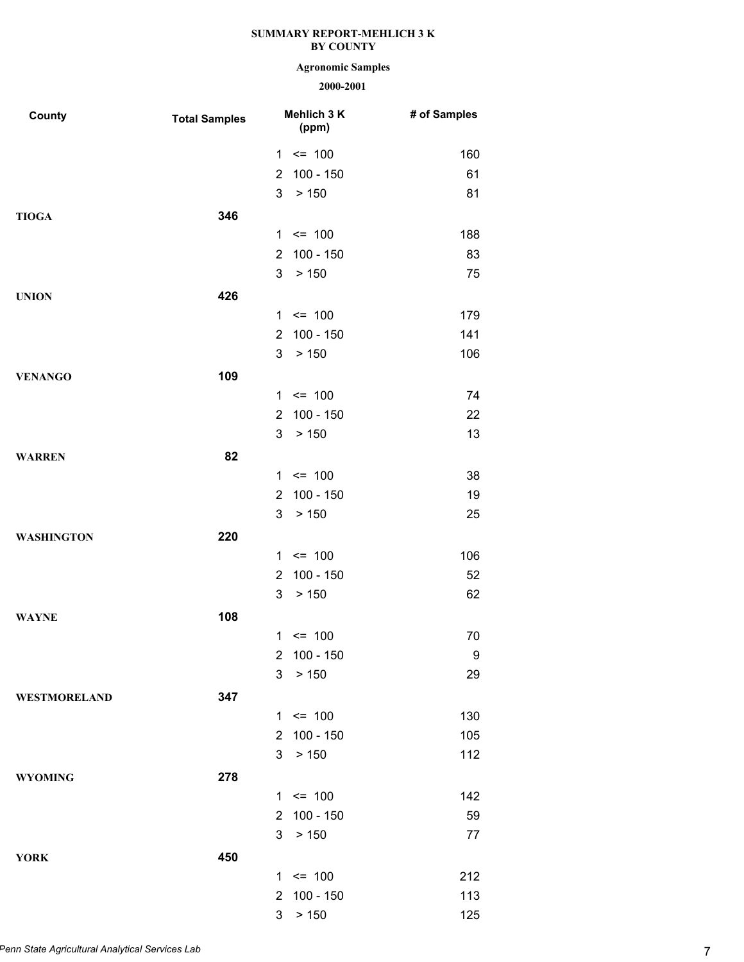# **Agronomic Samples**

| County              | <b>Total Samples</b> | Mehlich 3 K<br>(ppm)          | # of Samples |
|---------------------|----------------------|-------------------------------|--------------|
|                     |                      | $1 \le 100$                   | 160          |
|                     |                      | 100 - 150<br>$\overline{2}$   | 61           |
|                     |                      | 3<br>> 150                    | 81           |
| <b>TIOGA</b>        | 346                  |                               |              |
|                     |                      | $1 \le 100$                   | 188          |
|                     |                      | $100 - 150$<br>$\overline{2}$ | 83           |
|                     |                      | 3<br>> 150                    | 75           |
| <b>UNION</b>        | 426                  |                               |              |
|                     |                      | $1 \le 100$                   | 179          |
|                     |                      | $100 - 150$<br>$\overline{2}$ | 141          |
|                     |                      | 3<br>> 150                    | 106          |
| <b>VENANGO</b>      | 109                  |                               |              |
|                     |                      | $1 \le 100$                   | 74           |
|                     |                      | $100 - 150$<br>$\overline{2}$ | 22           |
|                     |                      | 3<br>> 150                    | 13           |
| <b>WARREN</b>       | 82                   |                               |              |
|                     |                      | $1 \le 100$                   | 38           |
|                     |                      | $100 - 150$<br>$\overline{2}$ | 19           |
|                     |                      | 3<br>> 150                    | 25           |
| <b>WASHINGTON</b>   | 220                  |                               |              |
|                     |                      | $1 \le 100$                   | 106          |
|                     |                      | $100 - 150$<br>$\overline{2}$ | 52           |
|                     |                      | 3<br>> 150                    | 62           |
| <b>WAYNE</b>        | 108                  |                               |              |
|                     |                      | $1 \le 100$                   | 70           |
|                     |                      | $\overline{2}$<br>100 - 150   | 9            |
|                     |                      | 3<br>> 150                    | 29           |
| <b>WESTMORELAND</b> | 347                  |                               |              |
|                     |                      | $1 \le 100$                   | 130          |
|                     |                      | 2 100 - 150                   | 105          |
|                     |                      | 3<br>> 150                    | 112          |
| <b>WYOMING</b>      | 278                  |                               |              |
|                     |                      | $1 \le 100$                   | 142          |
|                     |                      | 100 - 150<br>$2^{\circ}$      | 59           |
|                     |                      | 3<br>> 150                    | 77           |
| <b>YORK</b>         | 450                  |                               |              |
|                     |                      | $1 \le 100$                   | 212          |
|                     |                      | 2 100 - 150                   | 113          |
|                     |                      | 3 > 150                       | 125          |